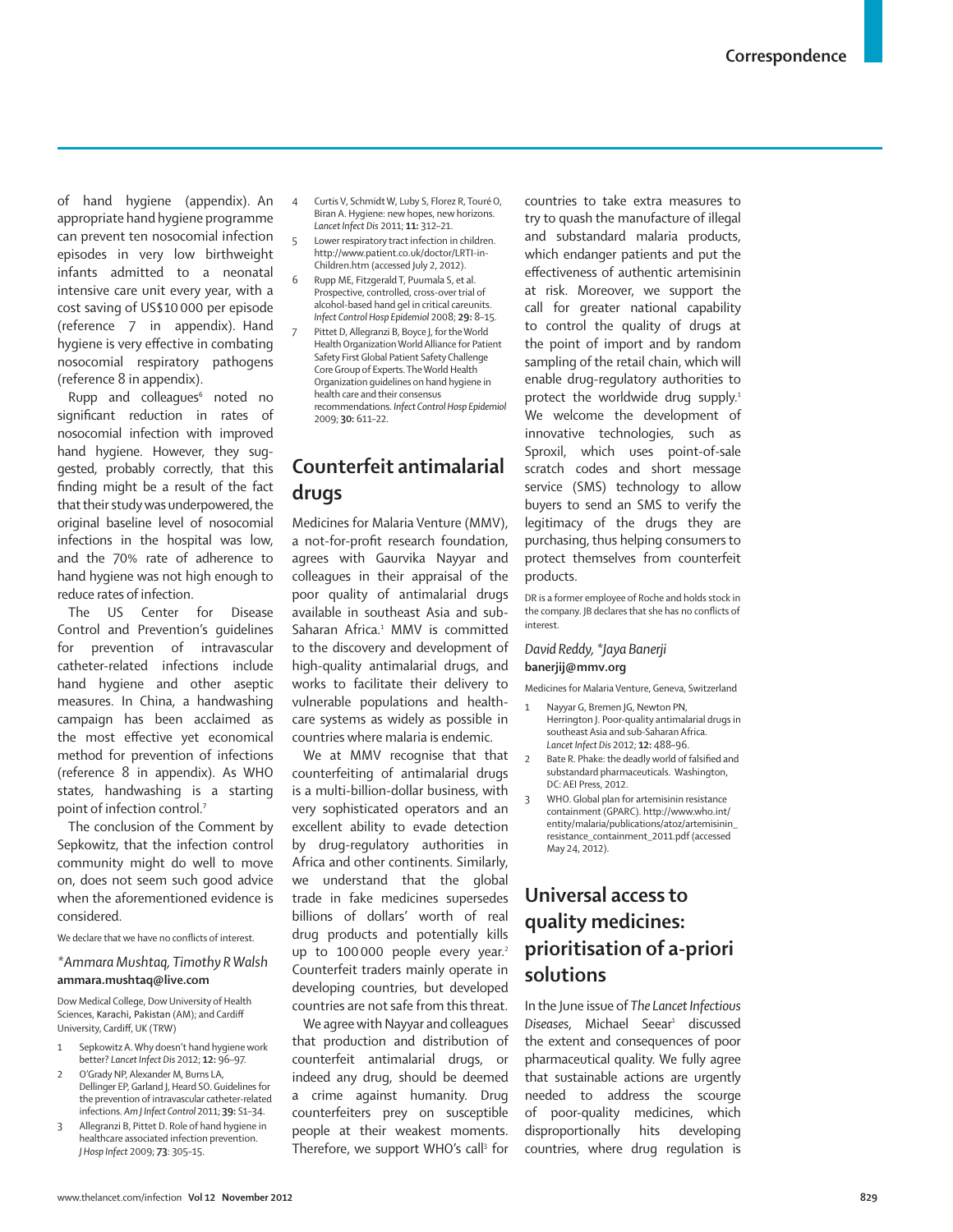of hand hygiene (appendix). An appropriate hand hygiene programme can prevent ten nosocomial infection episodes in very low birthweight infants admitted to a neonatal intensive care unit every year, with a cost saving of US\$10 000 per episode (reference 7 in appendix). Hand hygiene is very effective in combating nosocomial respiratory pathogens (reference 8 in appendix).

Rupp and colleagues<sup>6</sup> noted no significant reduction in rates of nosocomial infection with improved hand hygiene. However, they suggested, probably correctly, that this finding might be a result of the fact that their study was underpowered, the original baseline level of nosocomial infections in the hospital was low, and the 70% rate of adherence to hand hygiene was not high enough to reduce rates of infection.

The US Center for Disease Control and Prevention's guidelines for prevention of intravascular catheter-related infections include hand hygiene and other aseptic measures. In China, a handwashing campaign has been acclaimed as the most effective yet economical method for prevention of infections (reference 8 in appendix). As WHO states, handwashing is a starting point of infection control.<sup>7</sup>

The conclusion of the Comment by Sepkowitz, that the infection control community might do well to move on, does not seem such good advice when the aforementioned evidence is considered.

We declare that we have no conflicts of interest.

*\*Ammara Mushtaq, Timothy R Walsh* **ammara.mushtaq@live.com**

Dow Medical College, Dow University of Health Sciences, Karachi, Pakistan (AM); and Cardiff University, Cardiff, UK (TRW)

- 1 Sepkowitz A. Why doesn't hand hygiene work better? *Lancet Infect Dis* 2012; **12:** 96–97.
- 2 O'Grady NP, Alexander M, Burns LA, Dellinger EP, Garland J, Heard SO. Guidelines for the prevention of intravascular catheter-related infections. *Am J Infect Control* 2011; **39:** S1–34.
- 3 Allegranzi B, Pittet D. Role of hand hygiene in healthcare associated infection prevention. *J Hosp Infect* 2009; **73**: 305–15.
- 4 Curtis V, Schmidt W, Luby S, Florez R, Touré O, Biran A. Hygiene: new hopes, new horizons. *Lancet Infect Dis* 2011; **11:** 312–21.
- 5 Lower respiratory tract infection in children. http://www.patient.co.uk/doctor/LRTI-in-Children.htm (accessed July 2, 2012).
	- 6 Rupp ME, Fitzgerald T, Puumala S, et al. Prospective, controlled, cross-over trial of alcohol-based hand gel in critical careunits. *Infect Control Hosp Epidemiol* 2008; **29:** 8–15.
	- Pittet D, Allegranzi B, Boyce J, for the World Health Organization World Alliance for Patient Safety First Global Patient Safety Challenge Core Group of Experts. The World Health Organization guidelines on hand hygiene in health care and their consensus recommendations. *Infect Control Hosp Epidemiol*  2009; **30:** 611–22.

## **Counterfeit antimalarial drugs**

Medicines for Malaria Venture (MMV), a not-for-profit research foundation, agrees with Gaurvika Nayyar and colleagues in their appraisal of the poor quality of antimalarial drugs available in southeast Asia and sub-Saharan Africa.<sup>1</sup> MMV is committed to the discovery and development of high-quality antimalarial drugs, and works to facilitate their delivery to vulnerable populations and healthcare systems as widely as possible in countries where malaria is endemic.

We at MMV recognise that that counterfeiting of antimalarial drugs is a multi-billion-dollar business, with very sophisticated operators and an excellent ability to evade detection by drug-regulatory authorities in Africa and other continents. Similarly, we understand that the global trade in fake medicines supersedes billions of dollars' worth of real drug products and potentially kills up to 100000 people every year.<sup>2</sup> Counterfeit traders mainly operate in developing countries, but developed countries are not safe from this threat.

We agree with Nayyar and colleagues that production and distribution of counterfeit antimalarial drugs, or indeed any drug, should be deemed a crime against humanity. Drug counterfeiters prey on susceptible people at their weakest moments. Therefore, we support WHO's call<sup>3</sup> for countries to take extra measures to try to quash the manufacture of illegal and substandard malaria products, which endanger patients and put the effectiveness of authentic artemisinin at risk. Moreover, we support the call for greater national capability to control the quality of drugs at the point of import and by random sampling of the retail chain, which will enable drug-regulatory authorities to protect the worldwide drug supply.<sup>1</sup> We welcome the development of innovative technologies, such as Sproxil, which uses point-of-sale scratch codes and short message service (SMS) technology to allow buyers to send an SMS to verify the legitimacy of the drugs they are purchasing, thus helping consumers to protect themselves from counterfeit products.

DR is a former employee of Roche and holds stock in the company. JB declares that she has no conflicts of interest.

## *David Reddy, \*Jaya Banerji* **banerjij@mmv.org**

Medicines for Malaria Venture, Geneva, Switzerland

- Nayyar G, Bremen JG, Newton PN, Herrington J. Poor-quality antimalarial drugs in southeast Asia and sub-Saharan Africa. *Lancet Infect Dis* 2012; **12:** 488–96.
- 2 Bate R. Phake: the deadly world of falsified and substandard pharmaceuticals. Washington, DC: AEI Press, 2012.
- 3 WHO. Global plan for artemisinin resistance containment (GPARC). http://www.who.int/ entity/malaria/publications/atoz/artemisinin\_ resistance\_containment\_2011.pdf (accessed May 24, 2012).

## **Universal access to quality medicines: prioritisation of a-priori solutions**

In the June issue of *The Lancet Infectious*  Diseases, Michael Seear<sup>1</sup> discussed the extent and consequences of poor pharmaceutical quality. We fully agree that sustainable actions are urgently needed to address the scourge of poor-quality medicines, which disproportionally hits developing countries, where drug regulation is